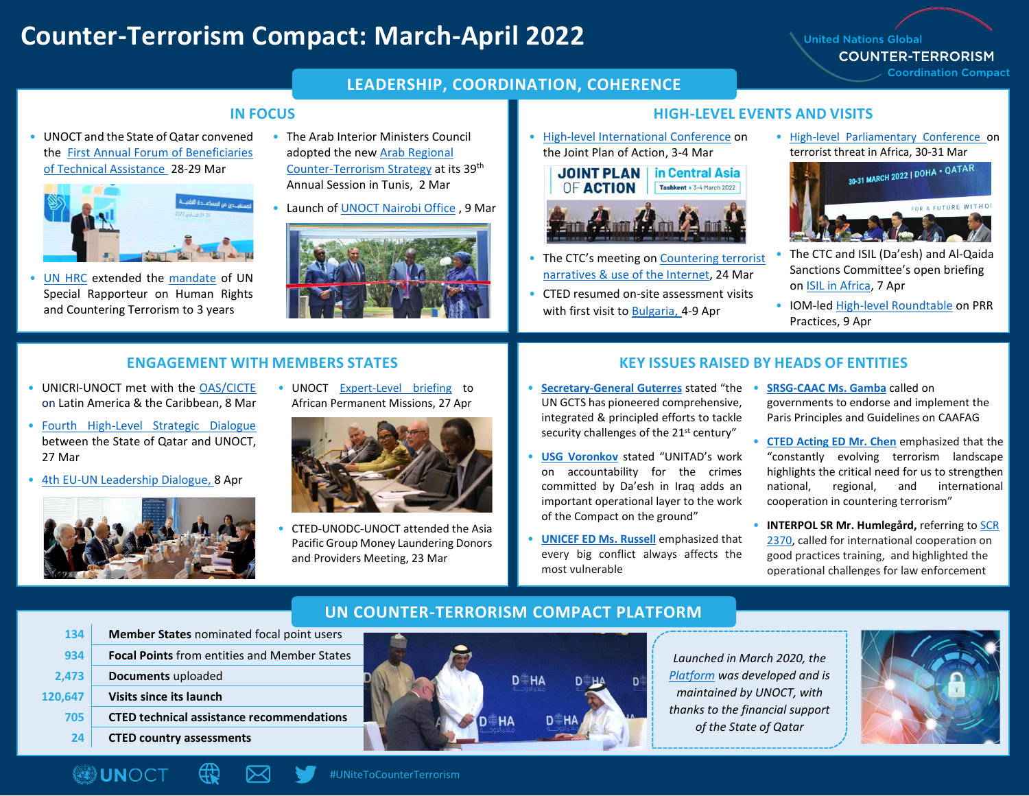## **Counter-Terrorism Compact: March-April 2022**

**United Nations Global COUNTER-TERRORISM Coordination Compact** 

#### **LEADERSHIP, COORDINATION, COHERENCE**

• UNOCT and the State of Qatar convened the [First Annual Forum of Beneficiaries](https://www.un.org/counterterrorism/node/19908)  [of Technical Assistance 2](https://www.un.org/counterterrorism/node/19908)8-29 Mar



• [UN HRC](https://www.ohchr.org/en/hr-bodies/hrc/regular-sessions/session49/res-dec-stat) extended the [mandate](https://ap.ohchr.org/documents/dpage_e.aspx?si=A/HRC/49/L.14) of UN Special Rapporteur on Human Rights and Countering Terrorism to 3 years

- The Arab Interior Ministers Council adopted the new [Arab Regional](https://www.un.org/counterterrorism/sites/www.un.org.counterterrorism/files/20220302_press_release_arab_regional_strategy_eng.pdf)  [Counter-Terrorism Strategy](https://www.un.org/counterterrorism/sites/www.un.org.counterterrorism/files/20220302_press_release_arab_regional_strategy_eng.pdf) at its 39th Annual Session in Tunis, 2 Mar
- Launch o[f UNOCT Nairobi Office](https://www.un.org/counterterrorism/sites/www.un.org.counterterrorism/files/20220309_video_statement_usg_voronkov_-_launch_of_unoct_programme_office_in_nairobi.pdf), 9 Mar



#### **IN FOCUS HIGH-LEVEL EVENTS AND VISITS**

• [High-level International Conference](https://gcts-ca.uz/en) on the Joint Plan of Action, 3-4 Mar

> in Central Asia **JOINT PLAN OF ACTION** Tashkent > 3-4 March 2022



- The CTC's meeting on Countering terrorist [narratives & use of the Internet,](https://www.un.org/securitycouncil/ctc/news/counter-terrorism-committee-holds-open-meeting-countering-terrorist-narratives-and-preventing-1) 24 Mar
- CTED resumed on-site assessment visits with first visit to [Bulgaria,](https://www.un.org/securitycouncil/ctc/news/cted-resumes-site-assessment-visits-behalf-counter-terrorism-committee-first-comprehensive) 4-9 Apr

• [High-level Parliamentary Conference](https://www.un.org/counterterrorism/events/high-level-parliamentary-conference-understanding-terrorist-threat-africa) on



- The CTC and ISIL (Da'esh) and Al-Qaida Sanctions Committee's open briefing on [ISIL in Africa,](https://www.un.org/securitycouncil/ctc/news/counter-terrorism-committee-and-126719892253-isil-da%E2%80%99esh-and-al-qaida-sanctions-committee-hold) 7 Apr
- IOM-le[d High-level Roundtable](https://iraq.un.org/en/177255-roundtable-prosecution-rehabilitation-and-reintegration-prr-practices) on PRR Practices, 9 Apr

- UNICRI-UNOCT met with the [OAS/CICTE](https://www.oas.org/en/sms/cicte/) on Latin America & the Caribbean, 8 Mar
- [Fourth High-Level Strategic Dialogue](https://www.un.org/counterterrorism/events/fourth-high-level-strategic-dialogue-between-state-qatar-unoct) between the State of Qatar and UNOCT, 27 Mar
- [4th EU-UN Leadership Dialogue,](https://www.un.org/counterterrorism/sites/www.un.org.counterterrorism/files/20220408_press_release_4th_eu-un.pdf) 8 Apr



**120,647 Visits** 

**OUNOCT** 

• UNOCT [Expert-Level briefing](https://twitter.com/UN_OCT/status/1519515316862296064) to African Permanent Missions, 27 Apr



• CTED-UNODC-UNOCT attended the Asia Pacific Group Money Laundering Donors and Providers Meeting, 23 Mar

#### **ENGAGEMENT WITH MEMBERS STATES KEY ISSUES RAISED BY HEADS OF ENTITIES**

- **[Secretary-General Guterres](https://www.un.org/sg/en/content/sg/statement/2022-03-03/secretary-generals-video-message-for-the-conference-central-asia-co-operation-the-un-joint-plan-of-action-for-the-global-counter-terrorism-strategy)** stated "the UN GCTS has pioneered comprehensive, integrated & principled efforts to tackle security challenges of the 21<sup>st</sup> century"
- **[USG Voronkov](https://www.un.org/counterterrorism/sites/www.un.org.counterterrorism/files/220421_pressrelease_joint_counter-terrorism_compact-unitad.pdf)** stated "UNITAD's work on accountability for the crimes committed by Da'esh in Iraq adds an important operational layer to the work of the Compact on the ground"
- **[UNICEF ED Ms. Russell](https://twitter.com/DohaForum/status/1508109356587536393)** emphasized that every big conflict always affects the most vulnerable

D

- **[SRSG-CAAC Ms. Gamba](https://media.un.org/en/asset/k1u/k1u0uhlua6?msclkid=ecc8206ccfc211ecb5b8335ac9893d99)** called on governments to endorse and implement the Paris Principles and Guidelines on CAAFAG
- **[CTED Acting ED Mr. Chen](https://www.un.org/securitycouncil/ctc/sites/www.un.org.securitycouncil.ctc/files/4march2022_aed_regional_cooperation_among_central_asian_states_within_the_framework_of_the_joint_plan_of_action_jpoa_for_the_implementation_of_the_united_nations_global_counter-terrorism_strategy.pdf)** emphasized that the "constantly evolving terrorism landscape highlights the critical need for us to strengthen national, regional, and international cooperation in countering terrorism"
- **INTERPOL SR Mr. Humlegård,** referring t[o SCR](https://unidir.org/events/guidelines_implementation_unsc_resolution_2370_preventing_terrorists_weapons?msclkid=84d8ab03cfc611ecba9ba23cd3b1370b)  [2370,](https://unidir.org/events/guidelines_implementation_unsc_resolution_2370_preventing_terrorists_weapons?msclkid=84d8ab03cfc611ecba9ba23cd3b1370b) called for international cooperation on good practices training, and highlighted the operational challenges for law enforcement

| 134   | Member States nominated focal point users           |                          |  |
|-------|-----------------------------------------------------|--------------------------|--|
| 934   | <b>Focal Points</b> from entities and Member States |                          |  |
| 2,473 | Documents uploaded                                  | <b>D</b> <sup>*</sup> HA |  |
| 0,647 | Visits since its launch                             |                          |  |
| 705   | <b>CTED technical assistance recommendations</b>    |                          |  |
| 24    | <b>CTED country assessments</b>                     |                          |  |
|       |                                                     |                          |  |

*Launched in March 2020, the [Platform](https://www.un.org/counterterrorism/CTcoordinationplatform) was developed and is maintained by UNOCT, with thanks to the financial support of the State of Qatar*



#UNiteToCounterTerrorism

#### **UN COUNTER-TERRORISM COMPACT PLATFORM**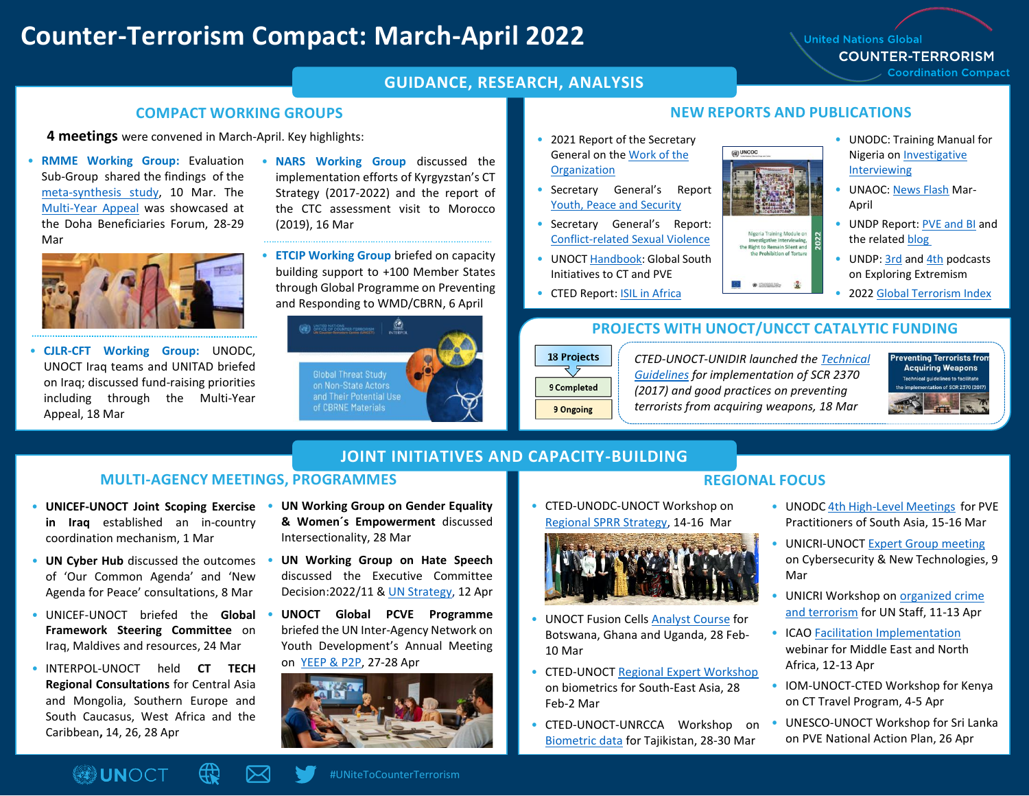## **Counter-Terrorism Compact: March-April 2022**

**United Nations Global COUNTER-TERRORISM** 

**Coordination Compact** 

#### **GUIDANCE, RESEARCH, ANALYSIS**

#### **COMPACT WORKING GROUPS NEW REPORTS AND PUBLICATIONS**

**4 meetings** were convened in March-April. Key highlights:

• **RMME Working Group:** Evaluation Sub-Group shared the findings of the [meta-synthesis study,](https://www.un.org/counterterrorism/sites/www.un.org.counterterrorism/files/meta-synthesis_united_nations_global_counter_terrorism_strategy.pdf) 10 Mar. The [Multi-Year Appeal](https://www.un.org/counterterrorism/the-appeal#:~:text=The%20United%20Nations%20Multi-Year%20Appeal%20for%20Counter-Terrorism%20is,continually%20evolving%20threat%20of%20terrorism%20and%20violent%20extremism.) was showcased at the Doha Beneficiaries Forum, 28-29 Mar



• **CJLR-CFT Working Group:** UNODC, UNOCT Iraq teams and UNITAD briefed on Iraq; discussed fund-raising priorities including through the Multi-Year Appeal, 18 Mar

- **NARS Working Group** discussed the implementation efforts of Kyrgyzstan's CT Strategy (2017-2022) and the report of the CTC assessment visit to Morocco (2019), 16 Mar
- **ETCIP Working Group** briefed on capacity building support to +100 Member States through Global Programme on Preventing and Responding to WMD/CBRN, 6 April



- 
- 2021 Report of the Secretary General on the [Work of the](https://www.un.org/annualreport/)  **[Organization](https://www.un.org/annualreport/)**
- Secretary General's Report [Youth, Peace and Security](https://documents-dds-ny.un.org/doc/UNDOC/GEN/N22/289/84/pdf/N2228984.pdf?OpenElement)
- Secretary General's Report: Conflict-related [Sexual Violence](https://www.un.org/sexualviolenceinconflict/wp-content/uploads/2022/04/2022-UN-SG-annual-report-on-CRSV-English.pdf)
- UNOC[T Handbook:](https://www.un.org/counterterrorism/sites/www.un.org.counterterrorism/files/2114743-global_south_initiatives_en.pdf) Global South Initiatives to CT and PVE
- CTED Report: [ISIL in Africa](https://www.un.org/securitycouncil/ctc/content/civil-society-perspectives-isil-africa-key-trends-and-developments)

# $\left(\vec{q}\right)$  UNODC

geria Training Module on Investigative Interviewing,<br>the Right to Remain Silent and the Probibition of Torture

Nigeria o[n Investigative](https://www.unodc.org/unodc/en/terrorism/latest-news/2022_unodc-launches-new-training-manual-for-nigeria-on-investigative-interviewing.html)  [Interviewing](https://www.unodc.org/unodc/en/terrorism/latest-news/2022_unodc-launches-new-training-manual-for-nigeria-on-investigative-interviewing.html) • UNAOC: [News Flash](https://www.unaoc.org/2022/04/unaoc-news-flash-volume-26/) Mar-

Report

April

• UNODC: Training Manual for

- UNDP Report[: PVE and BI](https://www.undp.org/library/enhancing-efforts-prevent-violent-extremism-leveraging-behavioural-insights) and the relate[d blog](https://undp.medium.com/fighting-violent-extremism-with-behaviour-change-2bee9464f958)
- UNDP: [3rd](https://pveportal.org/) an[d 4th](https://www1.undp.org/content/oslo-governance-centre/en/home/our-focus/preventing-violent-extremism/Podcast-ExploringExtremism.html) podcasts on Exploring Extremism
- 202[2 Global Terrorism Index](https://www.visionofhumanity.org/wp-content/uploads/2022/03/GTI-2022-web.pdf)

#### • **PROJECTS WITH UNOCT/UNCCT CATALYTIC FUNDING**

60 INSTALLED

## **18 Projects** 9 Completed 9 Ongoing

•

*CTED-UNOCT-UNIDIR launched the [Technical](https://www.un.org/securitycouncil/ctc/sites/www.un.org.securitycouncil.ctc/files/files/documents/2022/Mar/technical_guidelines_to_facilitate_the_implementation_of_security_council_resolution_2370_2017_and_related_international_standards_and_good_practices_on_preventing_terrorists_from_acquiring_weapons.pdf)  [Guidelines](https://www.un.org/securitycouncil/ctc/sites/www.un.org.securitycouncil.ctc/files/files/documents/2022/Mar/technical_guidelines_to_facilitate_the_implementation_of_security_council_resolution_2370_2017_and_related_international_standards_and_good_practices_on_preventing_terrorists_from_acquiring_weapons.pdf) for implementation of SCR 2370 (2017) and good practices on preventing terrorists from acquiring weapons, 18 Mar*



### **JOINT INITIATIVES AND CAPACITY-BUILDING**

#### **MULTI-AGENCY MEETINGS, PROGRAMMES**

- **UNICEF-UNOCT Joint Scoping Exercise in Iraq** established an in-country coordination mechanism, 1 Mar
- **UN Cyber Hub** discussed the outcomes of 'Our Common Agenda' and 'New Agenda for Peace' consultations, 8 Mar
- UNICEF-UNOCT briefed the **Global Framework Steering Committee** on Iraq, Maldives and resources, 24 Mar
- INTERPOL-UNOCT held **CT TECH Regional Consultations** for Central Asia and Mongolia, Southern Europe and South Caucasus, West Africa and the Caribbean**,** 14, 26, 28 Apr
- **UN Working Group on Gender Equality & Women´s Empowerment** discussed Intersectionality, 28 Mar
- **UN Working Group on Hate Speech** discussed the Executive Committee Decision:2022/11 & [UN Strategy,](https://www.un.org/en/genocideprevention/documents/UN%20Strategy%20and%20Plan%20of%20Action%20on%20Hate%20Speech%2018%20June%20SYNOPSIS.pdf) 12 Apr
- **UNOCT Global PCVE Programme** briefed the UN Inter-Agency Network on Youth Development's Annual Meeting on [YEEP & P2P,](https://www.un.org/counterterrorism/events/launch-regional-youth-engagement-and-empowerment-programme-south-and-southeast-asia) 27-28 Apr



## **REGIONAL FOCUS**

• CTED-UNODC-UNOCT Workshop on [Regional SPRR Strategy,](https://www.un.org/securitycouncil/ctc/news/regional-workshop-holistic-regional-and-national-approach-screening-prosecution-rehabilitation) 14-16 Mar



- UNOCT Fusion Cell[s Analyst Course](https://twitter.com/UN_OCT/status/1502014698652323843/photo/1) for Botswana, Ghana and Uganda, 28 Feb-10 Mar
- CTED-UNOCT [Regional Expert Workshop](https://twitter.com/UN_OCT/status/1499227472931569671/photo/1) on biometrics for South-East Asia, 28 Feb-2 Mar
- CTED-UNOCT-UNRCCA Workshop o[n](https://unrcca.unmissions.org/unrcca-co-organizes-national-workshop-tajik-authorities-biometric-data-and-counter-terrorism) [Biometric data](https://unrcca.unmissions.org/unrcca-co-organizes-national-workshop-tajik-authorities-biometric-data-and-counter-terrorism) for Tajikistan, 28-30 Mar
- UNODC [4th High-Level Meetings](https://www.unodc.org/unodc/en/terrorism/latest-news/2022_unodc-promotes-regional-cooperation-to-prevent-violent-extremism-in-south-asia.html) for PVE Practitioners of South Asia, 15-16 Mar
- UNICRI-UNOC[T Expert Group meeting](https://twitter.com/UN_OCT/status/1501702201277825025/photo/1) on Cybersecurity & New Technologies, 9 Mar
- UNICRI Workshop o[n organized crime](https://unicri.it/index.php/News/UNICRI-UNGSC-addressing-nexus-crime-terrorism)  [and terrorism](https://unicri.it/index.php/News/UNICRI-UNGSC-addressing-nexus-crime-terrorism) for UN Staff, 11-13 Apr
- ICAO [Facilitation Implementation](https://www.icao.int/MID/Pages/2022/FAL%20Webinar.aspx) webinar for Middle East and North Africa, 12-13 Apr
- IOM-UNOCT-CTED Workshop for Kenya on CT Travel Program, 4-5 Apr
- UNESCO-UNOCT Workshop for Sri Lanka on PVE National Action Plan, 26 Apr

#UNiteToCounterTerrorism

**OUNOCT**